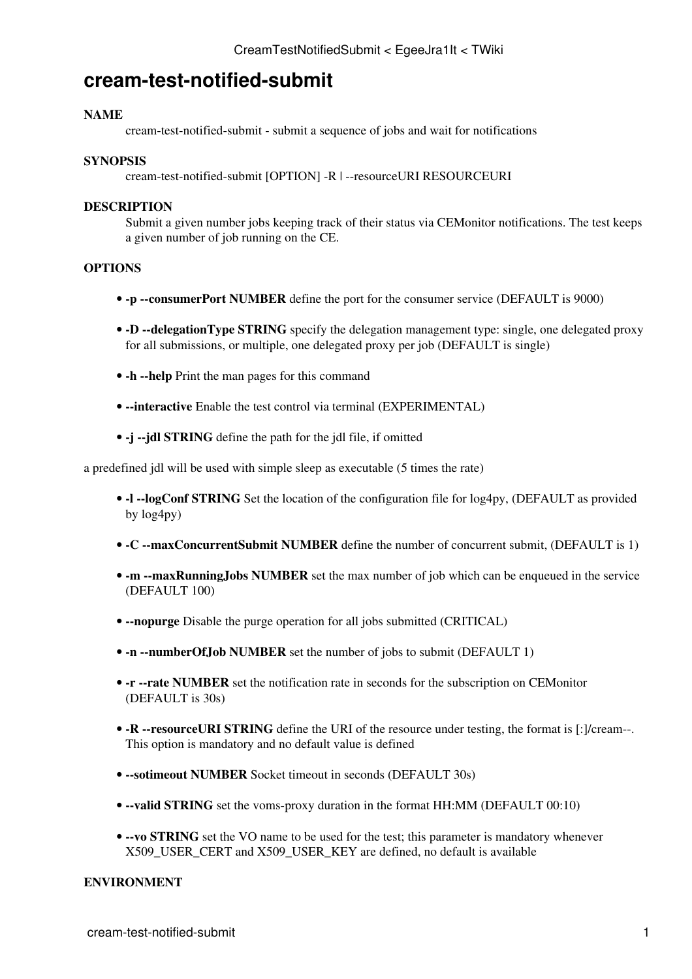# **cream-test-notified-submit**

## **NAME**

cream-test-notified-submit - submit a sequence of jobs and wait for notifications

#### **SYNOPSIS**

cream-test-notified-submit [OPTION] -R | --resourceURI RESOURCEURI

#### **DESCRIPTION**

Submit a given number jobs keeping track of their status via CEMonitor notifications. The test keeps a given number of job running on the CE.

### **OPTIONS**

- **-p --consumerPort NUMBER** define the port for the consumer service (DEFAULT is 9000)
- -D --delegationType STRING specify the delegation management type: single, one delegated proxy for all submissions, or multiple, one delegated proxy per job (DEFAULT is single)
- **-h --help** Print the man pages for this command
- **--interactive** Enable the test control via terminal (EXPERIMENTAL)
- **-j --jdl STRING** define the path for the jdl file, if omitted

a predefined jdl will be used with simple sleep as executable (5 times the rate)

- **-l --logConf STRING** Set the location of the configuration file for log4py, (DEFAULT as provided by log4py)
- **-C --maxConcurrentSubmit NUMBER** define the number of concurrent submit, (DEFAULT is 1)
- -m --maxRunningJobs NUMBER set the max number of job which can be enqueued in the service (DEFAULT 100)
- **--nopurge** Disable the purge operation for all jobs submitted (CRITICAL)
- **-n --numberOfJob NUMBER** set the number of jobs to submit (DEFAULT 1)
- - **r** -- rate NUMBER set the notification rate in seconds for the subscription on CEMonitor (DEFAULT is 30s)
- -R --resourceURI STRING define the URI of the resource under testing, the format is [:]/cream--. This option is mandatory and no default value is defined
- **--sotimeout NUMBER** Socket timeout in seconds (DEFAULT 30s)
- **--valid STRING** set the voms-proxy duration in the format HH:MM (DEFAULT 00:10)
- --vo STRING set the VO name to be used for the test; this parameter is mandatory whenever X509 USER CERT and X509 USER KEY are defined, no default is available

## **ENVIRONMENT**